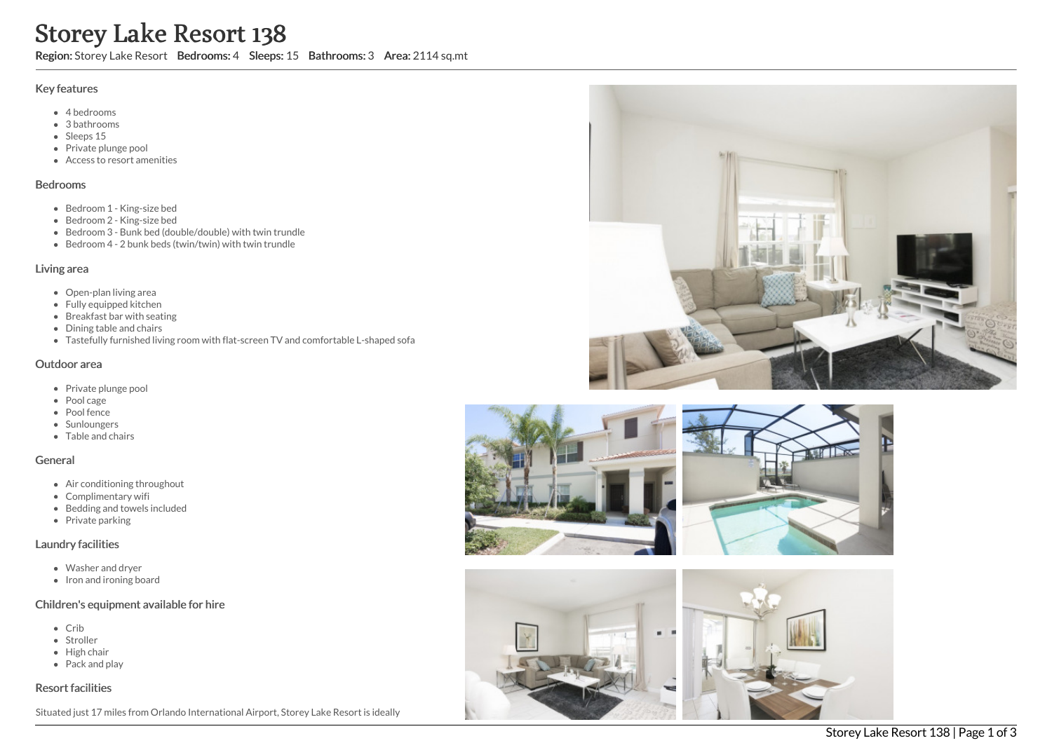# Storey Lake Resort 138

Region: Storey Lake Resort Bedrooms: 4 Sleeps: 15 Bathrooms: 3 Area: 2114 sq.mt

#### Key features

- 4 bedrooms
- 3 bathrooms
- Sleeps 15
- Private plunge pool
- Access to resort amenities

#### Bedrooms

- Bedroom 1 King-size bed
- Bedroom 2 King-size bed
- Bedroom 3 Bunk bed (double/double) with twin trundle
- Bedroom 4 2 bunk beds (twin/twin) with twin trundle

#### Living area

- Open-plan living area
- Fully equipped kitchen
- Breakfast bar with seating
- Dining table and chairs
- Tastefully furnished living room with flat-screen TV and comfortable L-shaped sofa

#### Outdoor area

- Private plunge pool
- Pool cage
- Pool fence
- Sunloungers
- Table and chairs

#### General

- Air conditioning throughout
- Complimentary wifi
- Bedding and towels included
- Private parking

#### Laundry facilities

- Washer and dryer
- Iron and ironing board

## Children's equipment available for hire

- Crib
- Stroller
- High chair
- Pack and play

## Resort facilities

Situated just 17 miles from Orlando International Airport, Storey Lake Resort is ideally





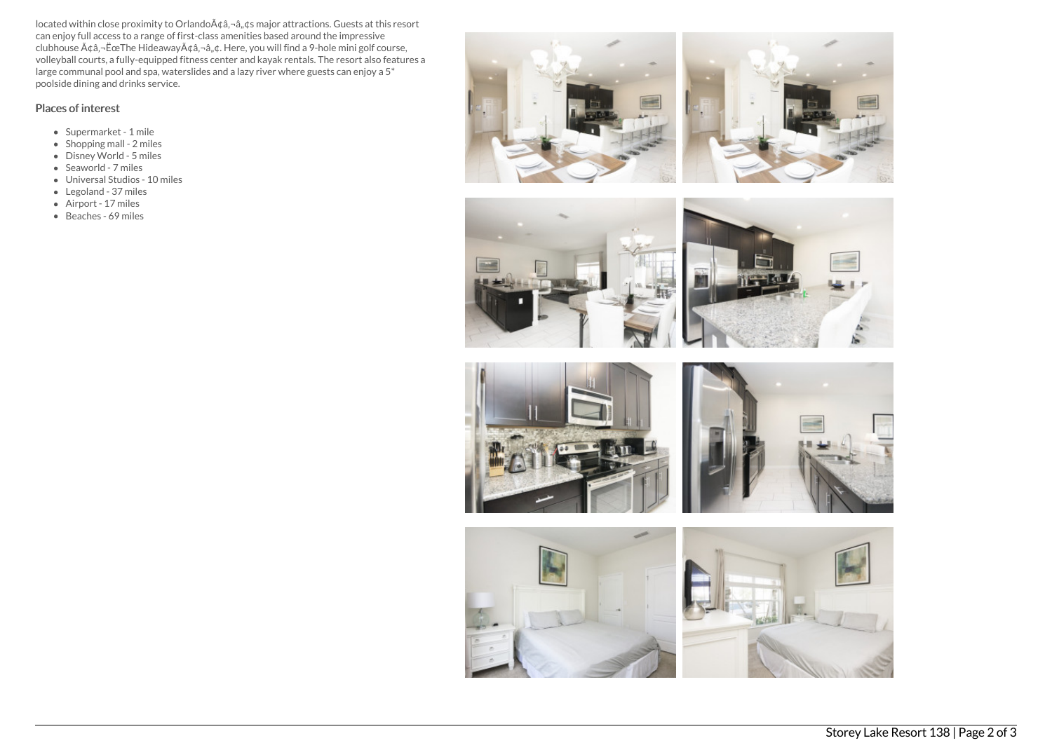located within close proximity to Orlando $A\phi$ ,  $\phi$ ,  $\phi$ s major attractions. Guests at this resort can enjoy full access to a range of first-class amenities based around the impressive  $\tilde{A}$ clubhouse  $\tilde{A}$  $\tilde{a}$ , $\tilde{B}$  $\tilde{B}$  $\tilde{C}$ . Here, you will find a 9-hole mini golf course, volleyball courts, a fully-equipped fitness center and kayak rentals. The resort also features a large communal pool and spa, waterslides and a lazy river where guests can enjoy a 5\* poolside dining and drinks service.

# Places of interest

- Supermarket 1 mile
- Shopping mall 2 miles
- Disney World 5 miles
- Seaworld 7 miles
- Universal Studios 10 miles
- Legoland 37 miles
- Airport 17 miles
- Beaches 69 miles